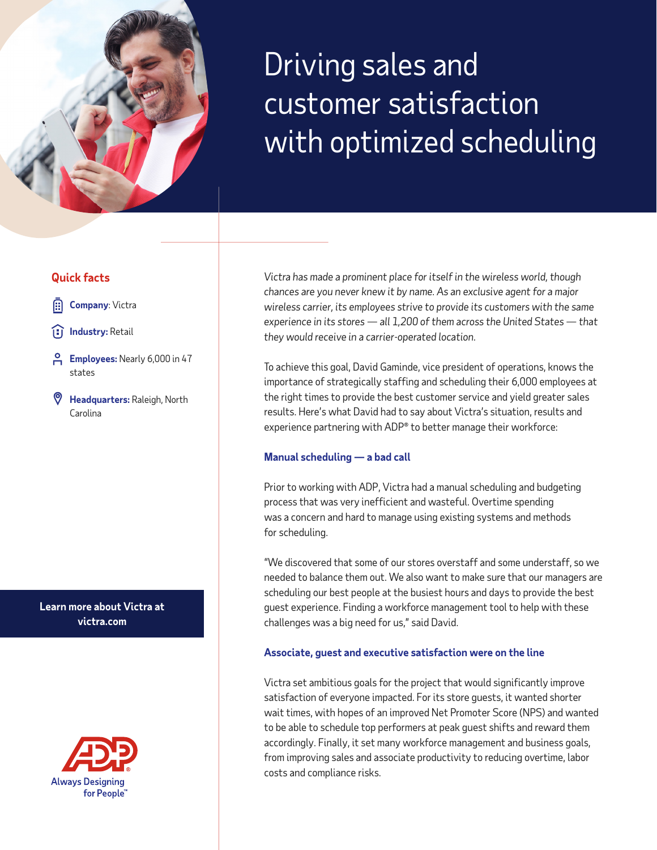

# Driving sales and customer satisfaction with optimized scheduling

### **Quick facts**

- **Company**: Victra
- **II** Industry: Retail
- **Employees:** Nearly 6,000 in 47 states
- **Headquarters:** Raleigh, North Carolina

**Learn more about Victra at [victra.com](http://http://victra.com/)**



*Victra has made a prominent place for itself in the wireless world, though chances are you never knew it by name. As an exclusive agent for a major wireless carrier, its employees strive to provide its customers with the same experience in its stores — all 1,200 of them across the United States — that they would receive in a carrier-operated location.*

To achieve this goal, David Gaminde, vice president of operations, knows the importance of strategically staffing and scheduling their 6,000 employees at the right times to provide the best customer service and yield greater sales results. Here's what David had to say about Victra's situation, results and experience partnering with ADP® to better manage their workforce:

### **Manual scheduling — a bad call**

Prior to working with ADP, Victra had a manual scheduling and budgeting process that was very inefficient and wasteful. Overtime spending was a concern and hard to manage using existing systems and methods for scheduling.

"We discovered that some of our stores overstaff and some understaff, so we needed to balance them out. We also want to make sure that our managers are scheduling our best people at the busiest hours and days to provide the best guest experience. Finding a workforce management tool to help with these challenges was a big need for us," said David.

### **Associate, guest and executive satisfaction were on the line**

Victra set ambitious goals for the project that would significantly improve satisfaction of everyone impacted. For its store guests, it wanted shorter wait times, with hopes of an improved Net Promoter Score (NPS) and wanted to be able to schedule top performers at peak guest shifts and reward them accordingly. Finally, it set many workforce management and business goals, from improving sales and associate productivity to reducing overtime, labor costs and compliance risks.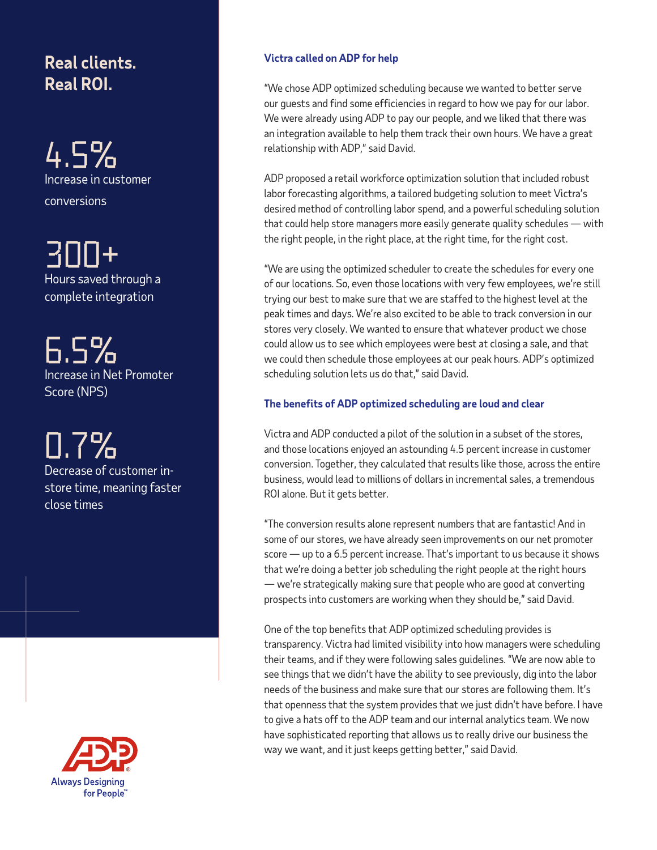### **Real clients. Real ROI.**

4.5% Increase in customer conversions

 $\frac{1}{2}$  $\prod$ Hours saved through a complete integration

6.5% Increase in Net Promoter Score (NPS)

0.7% Decrease of customer instore time, meaning faster close times



### **Victra called on ADP for help**

"We chose ADP optimized scheduling because we wanted to better serve our guests and find some efficiencies in regard to how we pay for our labor. We were already using ADP to pay our people, and we liked that there was an integration available to help them track their own hours. We have a great relationship with ADP," said David.

ADP proposed a retail workforce optimization solution that included robust labor forecasting algorithms, a tailored budgeting solution to meet Victra's desired method of controlling labor spend, and a powerful scheduling solution that could help store managers more easily generate quality schedules — with the right people, in the right place, at the right time, for the right cost.

"We are using the optimized scheduler to create the schedules for every one of our locations. So, even those locations with very few employees, we're still trying our best to make sure that we are staffed to the highest level at the peak times and days. We're also excited to be able to track conversion in our stores very closely. We wanted to ensure that whatever product we chose could allow us to see which employees were best at closing a sale, and that we could then schedule those employees at our peak hours. ADP's optimized scheduling solution lets us do that," said David.

### **The benefits of ADP optimized scheduling are loud and clear**

Victra and ADP conducted a pilot of the solution in a subset of the stores, and those locations enjoyed an astounding 4.5 percent increase in customer conversion. Together, they calculated that results like those, across the entire business, would lead to millions of dollars in incremental sales, a tremendous ROI alone. But it gets better.

"The conversion results alone represent numbers that are fantastic! And in some of our stores, we have already seen improvements on our net promoter score — up to a 6.5 percent increase. That's important to us because it shows that we're doing a better job scheduling the right people at the right hours — we're strategically making sure that people who are good at converting prospects into customers are working when they should be," said David.

One of the top benefits that ADP optimized scheduling provides is transparency. Victra had limited visibility into how managers were scheduling their teams, and if they were following sales guidelines. "We are now able to see things that we didn't have the ability to see previously, dig into the labor needs of the business and make sure that our stores are following them. It's that openness that the system provides that we just didn't have before. I have to give a hats off to the ADP team and our internal analytics team. We now have sophisticated reporting that allows us to really drive our business the way we want, and it just keeps getting better," said David.